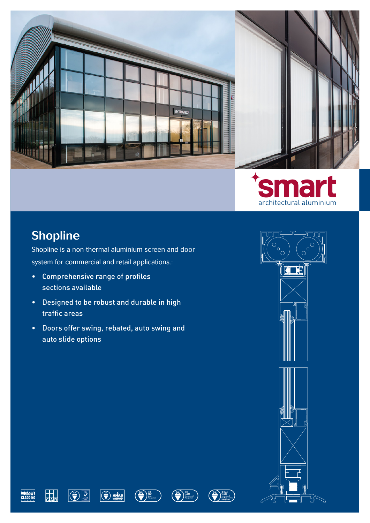



#### Shopline

Shopline is a non-thermal aluminium screen and door system for commercial and retail applications.:

- Comprehensive range of profiles sections available
- Designed to be robust and durable in high traffic areas
- Doors offer swing, rebated, auto swing and auto slide options



Jb







 $\boxed{\bigodot \text{AMAB}}$ 



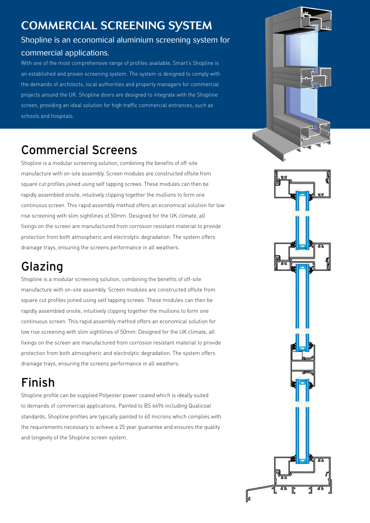#### Commercial Screening System

## Shopline is an economical aluminium screening system for

#### commercial applications.

With one of the most comprehensive range of profiles available, Smart's Shopline is an established and proven screening system. The system is designed to comply with the demands of architects, local authorities and property managers for commercial projects around the UK. Shopline doors are designed to integrate with the Shopline screen, providing an ideal solution for high traffic commercial entrances, such as schools and hospitals.

## Commercial Screens

Shopline is a modular screening solution, combining the benefits of off-site manufacture with on-site assembly. Screen modules are constructed offsite from square cut profiles joined using self tapping screws. These modules can then be rapidly assembled onsite, intuitively clipping together the mullions to form one continuous screen. This rapid assembly method offers an economical solution for low rise screening with slim sightlines of 50mm. Designed for the UK climate, all fixings on the screen are manufactured from corrosion resistant material to provide protection from both atmospheric and electrolytic degradation. The system offers drainage trays, ensuring the screens performance in all weathers.

## Glazing

Shopline is a modular screening solution, combining the benefits of off-site manufacture with on-site assembly. Screen modules are constructed offsite from square cut profiles joined using self tapping screws. These modules can then be rapidly assembled onsite, intuitively clipping together the mullions to form one continuous screen. This rapid assembly method offers an economical solution for low rise screening with slim sightlines of 50mm. Designed for the UK climate, all fixings on the screen are manufactured from corrosion resistant material to provide protection from both atmospheric and electrolytic degradation. The system offers drainage trays, ensuring the screens performance in all weathers.

# Finish

Shopline profile can be supplied Polyester power coated which is ideally suited to demands of commercial applications. Painted to BS 6496 including Qualicoat standards, Shopline profiles are typically painted to 60 microns which complies with the requirements necessary to achieve a 25 year guarantee and ensures the quality and longevity of the Shopline screen system.

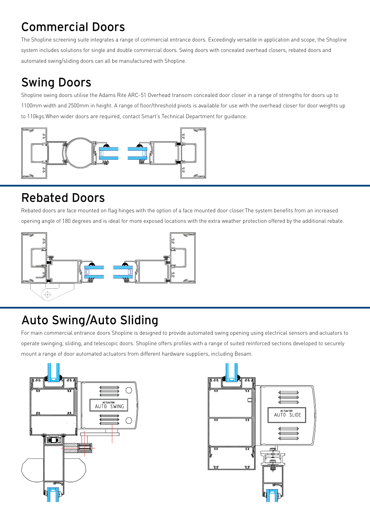## Commercial Doors

The Shopline screening suite integrates a range of commercial entrance doors. Exceedingly versatile in application and scope, the Shopline system includes solutions for single and double commercial doors. Swing doors with concealed overhead closers, rebated doors and automated swing/sliding doors can all be manufactured with Shopline.

## Swing Doors

Shopline swing doors utilise the Adams Rite ARC-51 Overhead transom concealed door closer in a range of strengths for doors up to 1100mm width and 2500mm in height. A range of floor/threshold pivots is available for use with the overhead closer for door weights up to 110kgs.When wider doors are required, contact Smart's Technical Department for guidance.



#### Rebated Doors

Rebated doors are face mounted on flag hinges with the option of a face mounted door closer.The system benefits from an increased opening angle of 180 degrees and is ideal for more exposed locations with the extra weather protection offered by the additional rebate.



## Auto Swing/Auto Sliding

For main commercial entrance doors Shopline is designed to provide automated swing opening using electrical sensors and actuators to operate swinging, sliding, and telescopic doors. Shopline offers profiles with a range of suited reinforced sections developed to securely mount a range of door automated actuators from different hardware suppliers, including Besam.